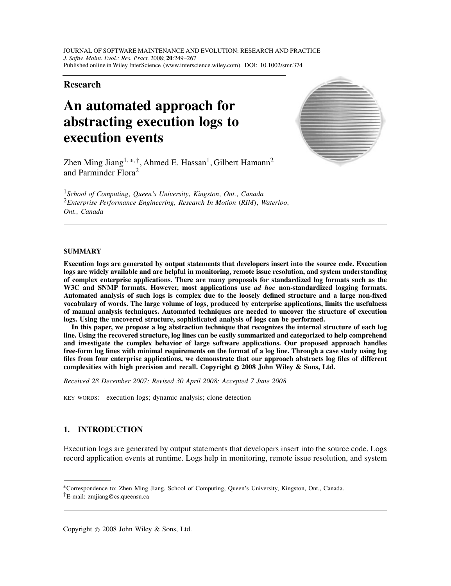# **Research**

# **An automated approach for abstracting execution logs to execution events**



Zhen Ming Jiang<sup>1,∗,†</sup>, Ahmed E. Hassan<sup>1</sup>, Gilbert Hamann<sup>2</sup> and Parminder Flora<sup>2</sup>

<sup>1</sup>*School of Computing, Queen's University, Kingston, Ont., Canada* <sup>2</sup>*Enterprise Performance Engineering, Research In Motion (RIM), Waterloo, Ont., Canada*

## **SUMMARY**

**Execution logs are generated by output statements that developers insert into the source code. Execution logs are widely available and are helpful in monitoring, remote issue resolution, and system understanding of complex enterprise applications. There are many proposals for standardized log formats such as the W3C and SNMP formats. However, most applications use** *ad hoc* **non-standardized logging formats. Automated analysis of such logs is complex due to the loosely defined structure and a large non-fixed vocabulary of words. The large volume of logs, produced by enterprise applications, limits the usefulness of manual analysis techniques. Automated techniques are needed to uncover the structure of execution logs. Using the uncovered structure, sophisticated analysis of logs can be performed.**

**In this paper, we propose a log abstraction technique that recognizes the internal structure of each log line. Using the recovered structure, log lines can be easily summarized and categorized to help comprehend and investigate the complex behavior of large software applications. Our proposed approach handles free-form log lines with minimal requirements on the format of a log line. Through a case study using log files from four enterprise applications, we demonstrate that our approach abstracts log files of different complexities with high precision and recall. Copyright © 2008 John Wiley & Sons, Ltd.**

*Received 28 December 2007; Revised 30 April 2008; Accepted 7 June 2008*

KEY WORDS: execution logs; dynamic analysis; clone detection

# **1. INTRODUCTION**

Execution logs are generated by output statements that developers insert into the source code. Logs record application events at runtime. Logs help in monitoring, remote issue resolution, and system

<sup>∗</sup>Correspondence to: Zhen Ming Jiang, School of Computing, Queen's University, Kingston, Ont., Canada. *†*E-mail: zmjiang@cs.queensu.ca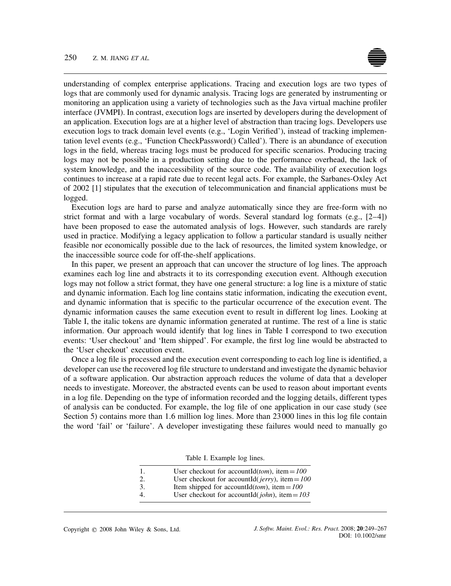understanding of complex enterprise applications. Tracing and execution logs are two types of logs that are commonly used for dynamic analysis. Tracing logs are generated by instrumenting or monitoring an application using a variety of technologies such as the Java virtual machine profiler interface (JVMPI). In contrast, execution logs are inserted by developers during the development of an application. Execution logs are at a higher level of abstraction than tracing logs. Developers use execution logs to track domain level events (e.g., 'Login Verified'), instead of tracking implementation level events (e.g., 'Function CheckPassword() Called'). There is an abundance of execution logs in the field, whereas tracing logs must be produced for specific scenarios. Producing tracing logs may not be possible in a production setting due to the performance overhead, the lack of system knowledge, and the inaccessibility of the source code. The availability of execution logs continues to increase at a rapid rate due to recent legal acts. For example, the Sarbanes-Oxley Act of 2002 [1] stipulates that the execution of telecommunication and financial applications must be logged.

Execution logs are hard to parse and analyze automatically since they are free-form with no strict format and with a large vocabulary of words. Several standard log formats (e.g., [2–4]) have been proposed to ease the automated analysis of logs. However, such standards are rarely used in practice. Modifying a legacy application to follow a particular standard is usually neither feasible nor economically possible due to the lack of resources, the limited system knowledge, or the inaccessible source code for off-the-shelf applications.

In this paper, we present an approach that can uncover the structure of log lines. The approach examines each log line and abstracts it to its corresponding execution event. Although execution logs may not follow a strict format, they have one general structure: a log line is a mixture of static and dynamic information. Each log line contains static information, indicating the execution event, and dynamic information that is specific to the particular occurrence of the execution event. The dynamic information causes the same execution event to result in different log lines. Looking at Table I, the italic tokens are dynamic information generated at runtime. The rest of a line is static information. Our approach would identify that log lines in Table I correspond to two execution events: 'User checkout' and 'Item shipped'. For example, the first log line would be abstracted to the 'User checkout' execution event.

Once a log file is processed and the execution event corresponding to each log line is identified, a developer can use the recovered log file structure to understand and investigate the dynamic behavior of a software application. Our abstraction approach reduces the volume of data that a developer needs to investigate. Moreover, the abstracted events can be used to reason about important events in a log file. Depending on the type of information recorded and the logging details, different types of analysis can be conducted. For example, the log file of one application in our case study (see Section 5) contains more than 1*.*6 million log lines. More than 23000 lines in this log file contain the word 'fail' or 'failure'. A developer investigating these failures would need to manually go

| -1. | User checkout for accountId( <i>tom</i> ), item = $100$         |
|-----|-----------------------------------------------------------------|
| 2.  | User checkout for accountId( $jerry$ ), item = 100              |
| 3.  | Item shipped for accountId( <i>tom</i> ), item = $100$          |
| 4.  | User checkout for accountId( $\omega$ <i>lohn</i> ), item = 103 |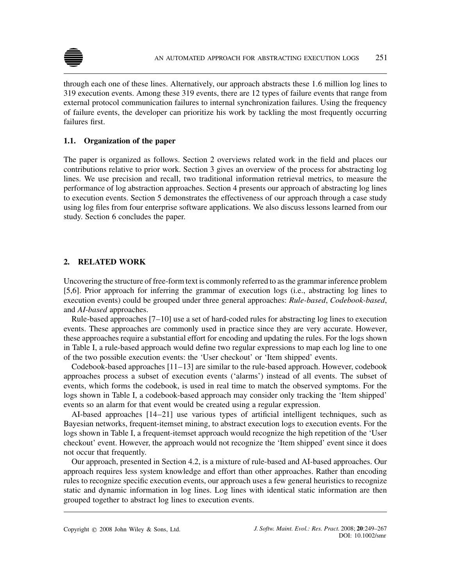

through each one of these lines. Alternatively, our approach abstracts these 1*.*6 million log lines to 319 execution events. Among these 319 events, there are 12 types of failure events that range from external protocol communication failures to internal synchronization failures. Using the frequency of failure events, the developer can prioritize his work by tackling the most frequently occurring failures first.

# **1.1. Organization of the paper**

The paper is organized as follows. Section 2 overviews related work in the field and places our contributions relative to prior work. Section 3 gives an overview of the process for abstracting log lines. We use precision and recall, two traditional information retrieval metrics, to measure the performance of log abstraction approaches. Section 4 presents our approach of abstracting log lines to execution events. Section 5 demonstrates the effectiveness of our approach through a case study using log files from four enterprise software applications. We also discuss lessons learned from our study. Section 6 concludes the paper.

# **2. RELATED WORK**

Uncovering the structure of free-form text is commonly referred to as the grammar inference problem [5,6]. Prior approach for inferring the grammar of execution logs (i.e., abstracting log lines to execution events) could be grouped under three general approaches: *Rule-based*, *Codebook-based*, and *AI-based* approaches.

Rule-based approaches [7–10] use a set of hard-coded rules for abstracting log lines to execution events. These approaches are commonly used in practice since they are very accurate. However, these approaches require a substantial effort for encoding and updating the rules. For the logs shown in Table I, a rule-based approach would define two regular expressions to map each log line to one of the two possible execution events: the 'User checkout' or 'Item shipped' events.

Codebook-based approaches  $[11-13]$  are similar to the rule-based approach. However, codebook approaches process a subset of execution events ('alarms') instead of all events. The subset of events, which forms the codebook, is used in real time to match the observed symptoms. For the logs shown in Table I, a codebook-based approach may consider only tracking the 'Item shipped' events so an alarm for that event would be created using a regular expression.

AI-based approaches [14–21] use various types of artificial intelligent techniques, such as Bayesian networks, frequent-itemset mining, to abstract execution logs to execution events. For the logs shown in Table I, a frequent-itemset approach would recognize the high repetition of the 'User checkout' event. However, the approach would not recognize the 'Item shipped' event since it does not occur that frequently.

Our approach, presented in Section 4.2, is a mixture of rule-based and AI-based approaches. Our approach requires less system knowledge and effort than other approaches. Rather than encoding rules to recognize specific execution events, our approach uses a few general heuristics to recognize static and dynamic information in log lines. Log lines with identical static information are then grouped together to abstract log lines to execution events.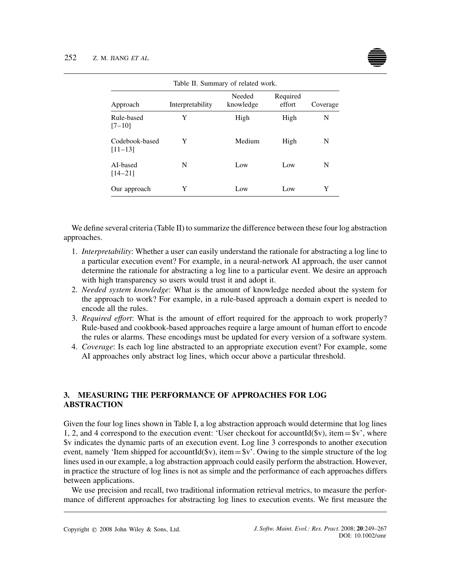| Table II. Summary of related work. |                  |                     |                    |          |  |  |  |
|------------------------------------|------------------|---------------------|--------------------|----------|--|--|--|
| Approach                           | Interpretability | Needed<br>knowledge | Required<br>effort | Coverage |  |  |  |
| Rule-based<br>$[7-10]$             | Y                | High                | High               | N        |  |  |  |
| Codebook-based<br>$[11 - 13]$      | Y                | Medium              | High               | N        |  |  |  |
| AI-based<br>$[14-21]$              | N                | Low                 | Low                | N        |  |  |  |
| Our approach                       | Y                | Low                 | Low                | Y        |  |  |  |

We define several criteria (Table II) to summarize the difference between these four log abstraction approaches.

- 1. *Interpretability*: Whether a user can easily understand the rationale for abstracting a log line to a particular execution event? For example, in a neural-network AI approach, the user cannot determine the rationale for abstracting a log line to a particular event. We desire an approach with high transparency so users would trust it and adopt it.
- 2. *Needed system knowledge*: What is the amount of knowledge needed about the system for the approach to work? For example, in a rule-based approach a domain expert is needed to encode all the rules.
- 3. *Required effort*: What is the amount of effort required for the approach to work properly? Rule-based and cookbook-based approaches require a large amount of human effort to encode the rules or alarms. These encodings must be updated for every version of a software system.
- 4. *Coverage*: Is each log line abstracted to an appropriate execution event? For example, some AI approaches only abstract log lines, which occur above a particular threshold.

# **3. MEASURING THE PERFORMANCE OF APPROACHES FOR LOG ABSTRACTION**

Given the four log lines shown in Table I, a log abstraction approach would determine that log lines 1, 2, and 4 correspond to the execution event: 'User checkout for accountId( $\$v$ ), item= $\$v'$ , where \$v indicates the dynamic parts of an execution event. Log line 3 corresponds to another execution event, namely 'Item shipped for accountId( $\gamma$ ), item= $\gamma$ '. Owing to the simple structure of the log lines used in our example, a log abstraction approach could easily perform the abstraction. However, in practice the structure of log lines is not as simple and the performance of each approaches differs between applications.

We use precision and recall, two traditional information retrieval metrics, to measure the performance of different approaches for abstracting log lines to execution events. We first measure the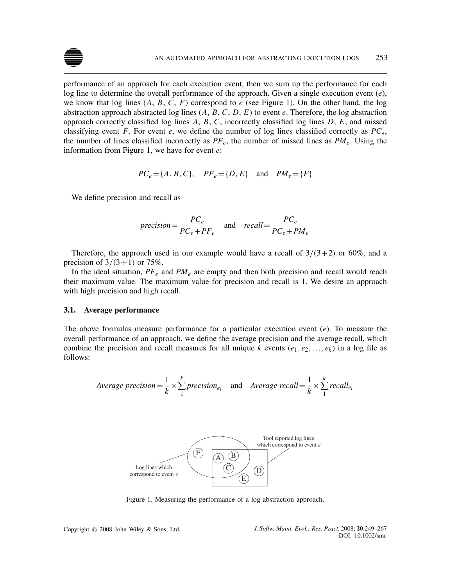

performance of an approach for each execution event, then we sum up the performance for each log line to determine the overall performance of the approach. Given a single execution event (*e*), we know that log lines  $(A, B, C, F)$  correspond to  $e$  (see Figure 1). On the other hand, the log abstraction approach abstracted log lines  $(A, B, C, D, E)$  to event  $e$ . Therefore, the log abstraction approach correctly classified log lines *A*, *B*, *C*, incorrectly classified log lines *D*, *E*, and missed classifying event *F*. For event *e*, we define the number of log lines classified correctly as  $PC_e$ , the number of lines classified incorrectly as  $PF_e$ , the number of missed lines as  $PM_e$ . Using the information from Figure 1, we have for event *e*:

$$
PC_e = \{A, B, C\}, \quad PF_e = \{D, E\} \text{ and } PM_e = \{F\}
$$

We define precision and recall as

$$
precision = \frac{PC_e}{PC_e + PF_e} \quad \text{and} \quad recall = \frac{PC_e}{PC_e + PM_e}
$$

Therefore, the approach used in our example would have a recall of  $3/(3+2)$  or 60%, and a precision of  $3/(3+1)$  or 75%.

In the ideal situation,  $PF_e$  and  $PM_e$  are empty and then both precision and recall would reach their maximum value. The maximum value for precision and recall is 1. We desire an approach with high precision and high recall.

## **3.1. Average performance**

The above formulas measure performance for a particular execution event (*e*). To measure the overall performance of an approach, we define the average precision and the average recall, which combine the precision and recall measures for all unique *k* events  $(e_1, e_2, \ldots, e_k)$  in a log file as follows:

Average precision = 
$$
\frac{1}{k} \times \sum_{1}^{k} precision_{e_i}
$$
 and Average recall =  $\frac{1}{k} \times \sum_{1}^{k} recall_{e_i}$ 



Figure 1. Measuring the performance of a log abstraction approach.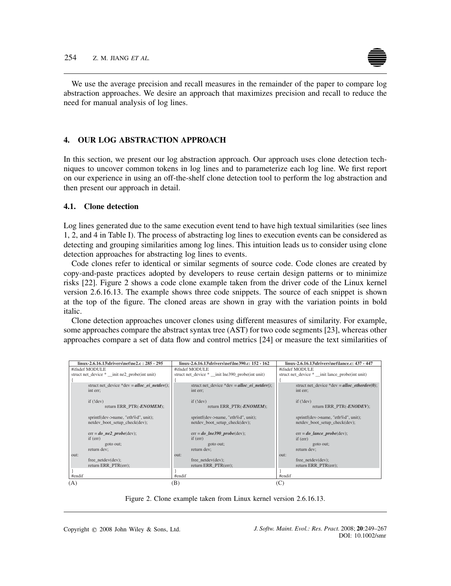

We use the average precision and recall measures in the remainder of the paper to compare log abstraction approaches. We desire an approach that maximizes precision and recall to reduce the need for manual analysis of log lines.

# **4. OUR LOG ABSTRACTION APPROACH**

In this section, we present our log abstraction approach. Our approach uses clone detection techniques to uncover common tokens in log lines and to parameterize each log line. We first report on our experience in using an off-the-shelf clone detection tool to perform the log abstraction and then present our approach in detail.

# **4.1. Clone detection**

Log lines generated due to the same execution event tend to have high textual similarities (see lines 1, 2, and 4 in Table I). The process of abstracting log lines to execution events can be considered as detecting and grouping similarities among log lines. This intuition leads us to consider using clone detection approaches for abstracting log lines to events.

Code clones refer to identical or similar segments of source code. Code clones are created by copy-and-paste practices adopted by developers to reuse certain design patterns or to minimize risks [22]. Figure 2 shows a code clone example taken from the driver code of the Linux kernel version 2.6.16.13. The example shows three code snippets. The source of each snippet is shown at the top of the figure. The cloned areas are shown in gray with the variation points in bold italic.

Clone detection approaches uncover clones using different measures of similarity. For example, some approaches compare the abstract syntax tree (AST) for two code segments [23], whereas other approaches compare a set of data flow and control metrics [24] or measure the text similarities of

|        | linux-2.6.16.13\drivers\net\ne2.c: 285 - 295 |        | linux-2.6.16.13\drivers\net\lne390.c: 152 - 162 |          | linux-2.6.16.13\drivers\net\lance.c: 437 - 447 |
|--------|----------------------------------------------|--------|-------------------------------------------------|----------|------------------------------------------------|
|        | #ifndef MODULE                               |        | #ifndef MODULE                                  |          | #ifndef MODULE                                 |
|        | struct net device * init ne2 probe(int unit) |        | struct net device * init lne390 probe(int unit) |          | struct net device * init lance probe(int unit) |
|        |                                              |        |                                                 |          |                                                |
|        | struct net device *dev = alloc ei netdev();  |        | struct net device *dev = alloc ei netdev();     |          | struct net device *dev = alloc etherdev(0);    |
|        | int err;                                     |        | int err;                                        |          | int err;                                       |
|        |                                              |        |                                                 |          |                                                |
|        | if (!dev)                                    |        | if (!dev)                                       |          | if (!dev)                                      |
|        | return ERR PTR(- <i>ENOMEM</i> );            |        | return ERR PTR(-ENOMEM);                        |          | return ERR PTR(- <i>ENODEV</i> );              |
|        | sprintf(dev->name, "eth%d", unit);           |        | sprintf(dev->name, "eth%d", unit);              |          | sprintf(dev->name, "eth%d", unit);             |
|        | netdev boot setup check(dev);                |        | netdev boot setup check(dev);                   |          | netdev boot setup check(dev);                  |
|        |                                              |        |                                                 |          |                                                |
|        | $err = do$ <i>ne2 probe</i> (dev);           |        | $err = do$ <i>lne</i> 390 <i>probe</i> (dev);   |          | $err = do$ <i>lance probe</i> (dev);           |
|        | if (err)                                     |        | if (err)                                        |          | if (err)                                       |
|        | goto out;                                    |        | goto out;                                       |          | goto out;                                      |
|        | return dev;                                  |        | return dev;                                     |          | return dev;                                    |
| out:   |                                              | out:   |                                                 | $OIII$ : |                                                |
|        | free $netdev(dev)$ ;                         |        | free netdev(dev);                               |          | free $netdev(dev)$ ;                           |
|        | return ERR PTR(err);                         |        | return ERR PTR(err);                            |          | return ERR PTR(err);                           |
|        |                                              |        |                                                 |          |                                                |
| #endif |                                              | #endif |                                                 | #endif   |                                                |
| (A)    |                                              | B)     |                                                 |          |                                                |

Figure 2. Clone example taken from Linux kernel version 2.6.16.13.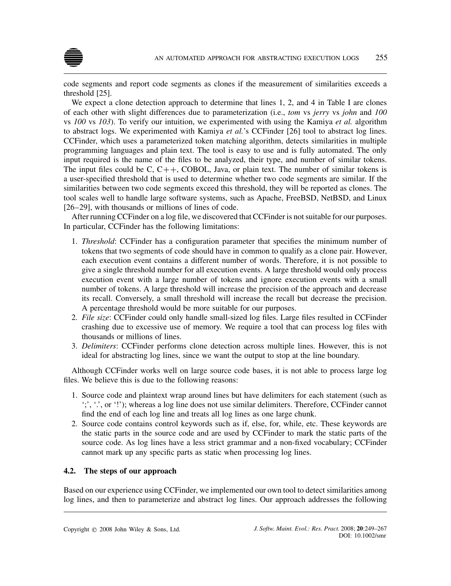code segments and report code segments as clones if the measurement of similarities exceeds a threshold [25].

We expect a clone detection approach to determine that lines 1, 2, and 4 in Table I are clones of each other with slight differences due to parameterization (i.e., *tom* vs *jerry* vs *john* and *100* vs *100* vs *103*). To verify our intuition, we experimented with using the Kamiya *et al.* algorithm to abstract logs. We experimented with Kamiya *et al.*'s CCFinder [26] tool to abstract log lines. CCFinder, which uses a parameterized token matching algorithm, detects similarities in multiple programming languages and plain text. The tool is easy to use and is fully automated. The only input required is the name of the files to be analyzed, their type, and number of similar tokens. The input files could be C,  $C++$ , COBOL, Java, or plain text. The number of similar tokens is a user-specified threshold that is used to determine whether two code segments are similar. If the similarities between two code segments exceed this threshold, they will be reported as clones. The tool scales well to handle large software systems, such as Apache, FreeBSD, NetBSD, and Linux [26–29], with thousands or millions of lines of code.

After running CCFinder on a log file, we discovered that CCFinder is not suitable for our purposes. In particular, CCFinder has the following limitations:

- 1. *Threshold*: CCFinder has a configuration parameter that specifies the minimum number of tokens that two segments of code should have in common to qualify as a clone pair. However, each execution event contains a different number of words. Therefore, it is not possible to give a single threshold number for all execution events. A large threshold would only process execution event with a large number of tokens and ignore execution events with a small number of tokens. A large threshold will increase the precision of the approach and decrease its recall. Conversely, a small threshold will increase the recall but decrease the precision. A percentage threshold would be more suitable for our purposes.
- 2. *File size*: CCFinder could only handle small-sized log files. Large files resulted in CCFinder crashing due to excessive use of memory. We require a tool that can process log files with thousands or millions of lines.
- 3. *Delimiters*: CCFinder performs clone detection across multiple lines. However, this is not ideal for abstracting log lines, since we want the output to stop at the line boundary.

Although CCFinder works well on large source code bases, it is not able to process large log files. We believe this is due to the following reasons:

- 1. Source code and plaintext wrap around lines but have delimiters for each statement (such as ';', '.', or '!'); whereas a log line does not use similar delimiters. Therefore, CCFinder cannot find the end of each log line and treats all log lines as one large chunk.
- 2. Source code contains control keywords such as if, else, for, while, etc. These keywords are the static parts in the source code and are used by CCFinder to mark the static parts of the source code. As log lines have a less strict grammar and a non-fixed vocabulary; CCFinder cannot mark up any specific parts as static when processing log lines.

# **4.2. The steps of our approach**

Based on our experience using CCFinder, we implemented our own tool to detect similarities among log lines, and then to parameterize and abstract log lines. Our approach addresses the following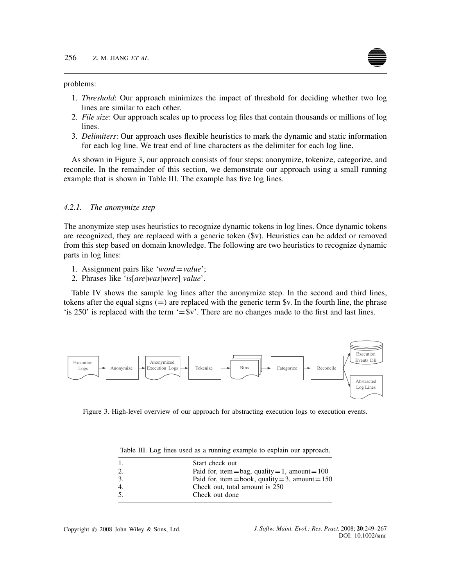#### problems:

- 1. *Threshold*: Our approach minimizes the impact of threshold for deciding whether two log lines are similar to each other.
- 2. *File size*: Our approach scales up to process log files that contain thousands or millions of log lines.
- 3. *Delimiters*: Our approach uses flexible heuristics to mark the dynamic and static information for each log line. We treat end of line characters as the delimiter for each log line.

As shown in Figure 3, our approach consists of four steps: anonymize, tokenize, categorize, and reconcile. In the remainder of this section, we demonstrate our approach using a small running example that is shown in Table III. The example has five log lines.

## *4.2.1. The anonymize step*

The anonymize step uses heuristics to recognize dynamic tokens in log lines. Once dynamic tokens are recognized, they are replaced with a generic token (\$v). Heuristics can be added or removed from this step based on domain knowledge. The following are two heuristics to recognize dynamic parts in log lines:

- 1. Assignment pairs like '*word*=*value*';
- 2. Phrases like '*is*[*are*|*was*|*were*] *value*'.

Table IV shows the sample log lines after the anonymize step. In the second and third lines, tokens after the equal signs *(*=*)* are replaced with the generic term \$v. In the fourth line, the phrase 'is 250' is replaced with the term '= $\frac{6}{5}$ v'. There are no changes made to the first and last lines.



Figure 3. High-level overview of our approach for abstracting execution logs to execution events.

|  |  |  |  |  | Table III. Log lines used as a running example to explain our approach |  |
|--|--|--|--|--|------------------------------------------------------------------------|--|
|  |  |  |  |  |                                                                        |  |

|    | Start check out                                    |
|----|----------------------------------------------------|
|    | Paid for, item = bag, quality = 1, amount = $100$  |
| 3. | Paid for, item = book, quality = 3, amount = $150$ |
|    | Check out, total amount is 250                     |
| 5. | Check out done                                     |
|    |                                                    |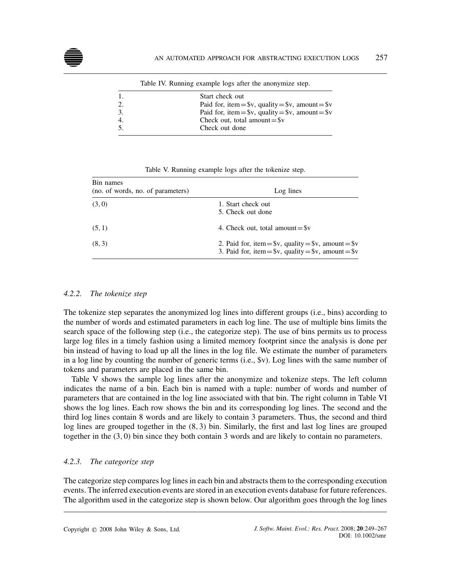|    | Table TV. Kunning example logs after the anonymize step. |
|----|----------------------------------------------------------|
|    | Start check out                                          |
|    | Paid for, item = $v$ , quality = $v$ , amount = $v$      |
| 3. | Paid for, item = $v$ , quality = $v$ , amount = $v$      |
| 4. | Check out, total amount= $\$v$                           |
|    | Check out done                                           |
|    |                                                          |

Table IV. Running example logs after the anonymize step.

| Table V. Running example logs after the tokenize step. |  |
|--------------------------------------------------------|--|
|--------------------------------------------------------|--|

| Bin names<br>(no. of words, no. of parameters) | Log lines                                                                                                        |
|------------------------------------------------|------------------------------------------------------------------------------------------------------------------|
| (3,0)                                          | 1. Start check out<br>5. Check out done                                                                          |
| (5, 1)                                         | 4. Check out, total amount= $\$v$                                                                                |
| (8, 3)                                         | 2. Paid for, item = $v$ , quality = $v$ , amount = $v$<br>3. Paid for, item = $v$ , quality = $v$ , amount = $v$ |

# *4.2.2. The tokenize step*

The tokenize step separates the anonymized log lines into different groups (i.e., bins) according to the number of words and estimated parameters in each log line. The use of multiple bins limits the search space of the following step (i.e., the categorize step). The use of bins permits us to process large log files in a timely fashion using a limited memory footprint since the analysis is done per bin instead of having to load up all the lines in the log file. We estimate the number of parameters in a log line by counting the number of generic terms (i.e., \$v). Log lines with the same number of tokens and parameters are placed in the same bin.

Table V shows the sample log lines after the anonymize and tokenize steps. The left column indicates the name of a bin. Each bin is named with a tuple: number of words and number of parameters that are contained in the log line associated with that bin. The right column in Table VI shows the log lines. Each row shows the bin and its corresponding log lines. The second and the third log lines contain 8 words and are likely to contain 3 parameters. Thus, the second and third log lines are grouped together in the (8*,*3) bin. Similarly, the first and last log lines are grouped together in the (3*,*0) bin since they both contain 3 words and are likely to contain no parameters.

# *4.2.3. The categorize step*

The categorize step compares log lines in each bin and abstracts them to the corresponding execution events. The inferred execution events are stored in an execution events database for future references. The algorithm used in the categorize step is shown below. Our algorithm goes through the log lines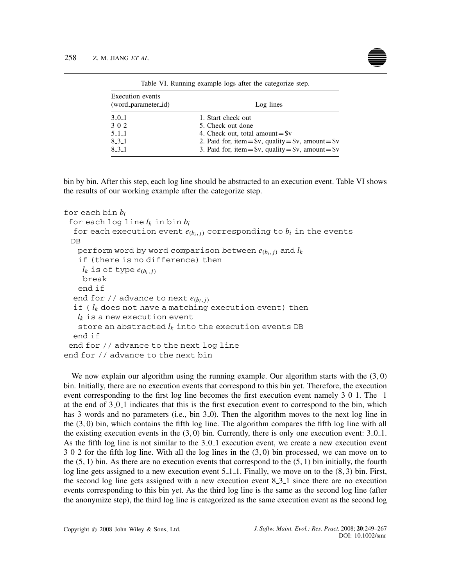

| <b>Execution</b> events |                                                        |
|-------------------------|--------------------------------------------------------|
| (word_parameter_id)     | Log lines                                              |
| 3.0.1                   | 1. Start check out                                     |
| 3.0.2                   | 5. Check out done                                      |
| $5-1-1$                 | 4. Check out, total amount $=$ \$v                     |
| 8.3.1                   | 2. Paid for, item = $v$ , quality = $v$ , amount = $v$ |
| 8.3.1                   | 3. Paid for, item = $v$ , quality = $v$ , amount = $v$ |

Table VI. Running example logs after the categorize step.

bin by bin. After this step, each log line should be abstracted to an execution event. Table VI shows the results of our working example after the categorize step.

```
for each bin bi
 for each log line lk in bin bi
  for each execution event e_{(b_i,j)} corresponding to b_i in the events
 DB
   perform word by word comparison between e_{(b_i, j)} and l_kif (there is no difference) then
    l_k is of type e_{(b_i, j)}break
   end if
  end for // advance to next e_{(b_i,j)}if ( lk does not have a matching execution event) then
   l_k is a new execution event
   store an abstracted l_k into the execution events DB
  end if
 end for // advance to the next log line
end for // advance to the next bin
```
We now explain our algorithm using the running example. Our algorithm starts with the (3*,*0) bin. Initially, there are no execution events that correspond to this bin yet. Therefore, the execution event corresponding to the first log line becomes the first execution event namely 3.0.1. The 1 at the end of 3.0.1 indicates that this is the first execution event to correspond to the bin, which has 3 words and no parameters (i.e., bin 3.0). Then the algorithm moves to the next log line in the (3*,*0) bin, which contains the fifth log line. The algorithm compares the fifth log line with all the existing execution events in the  $(3,0)$  bin. Currently, there is only one execution event:  $3_0$ -1. As the fifth log line is not similar to the 3\_0\_1 execution event, we create a new execution event 3 0 2 for the fifth log line. With all the log lines in the (3*,*0) bin processed, we can move on to the (5*,*1) bin. As there are no execution events that correspond to the (5*,*1) bin initially, the fourth log line gets assigned to a new execution event 5 1 1. Finally, we move on to the (8*,*3) bin. First, the second log line gets assigned with a new execution event 8.3.1 since there are no execution events corresponding to this bin yet. As the third log line is the same as the second log line (after the anonymize step), the third log line is categorized as the same execution event as the second log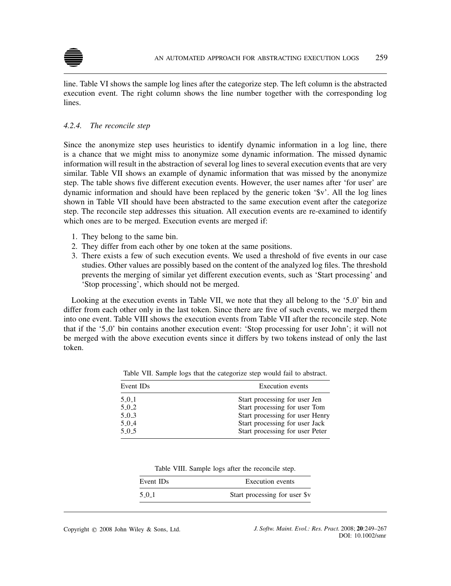

line. Table VI shows the sample log lines after the categorize step. The left column is the abstracted execution event. The right column shows the line number together with the corresponding log lines.

# *4.2.4. The reconcile step*

Since the anonymize step uses heuristics to identify dynamic information in a log line, there is a chance that we might miss to anonymize some dynamic information. The missed dynamic information will result in the abstraction of several log lines to several execution events that are very similar. Table VII shows an example of dynamic information that was missed by the anonymize step. The table shows five different execution events. However, the user names after 'for user' are dynamic information and should have been replaced by the generic token '\$v'. All the log lines shown in Table VII should have been abstracted to the same execution event after the categorize step. The reconcile step addresses this situation. All execution events are re-examined to identify which ones are to be merged. Execution events are merged if:

- 1. They belong to the same bin.
- 2. They differ from each other by one token at the same positions.
- 3. There exists a few of such execution events. We used a threshold of five events in our case studies. Other values are possibly based on the content of the analyzed log files. The threshold prevents the merging of similar yet different execution events, such as 'Start processing' and 'Stop processing', which should not be merged.

Looking at the execution events in Table VII, we note that they all belong to the '5.0' bin and differ from each other only in the last token. Since there are five of such events, we merged them into one event. Table VIII shows the execution events from Table VII after the reconcile step. Note that if the '5 0' bin contains another execution event: 'Stop processing for user John'; it will not be merged with the above execution events since it differs by two tokens instead of only the last token.

| Event ID <sub>s</sub> | <b>Execution</b> events         |
|-----------------------|---------------------------------|
| 5.0.1                 | Start processing for user Jen   |
| 5.0.2                 | Start processing for user Tom   |
| 5.0.3                 | Start processing for user Henry |
| 5.0.4                 | Start processing for user Jack  |
| 5.0.5                 | Start processing for user Peter |

Table VII. Sample logs that the categorize step would fail to abstract.

| Table VIII. Sample logs after the reconcile step. |  |  |  |  |  |  |
|---------------------------------------------------|--|--|--|--|--|--|
|---------------------------------------------------|--|--|--|--|--|--|

| Event IDs | Execution events              |  |  |
|-----------|-------------------------------|--|--|
| 5.0.1     | Start processing for user \$v |  |  |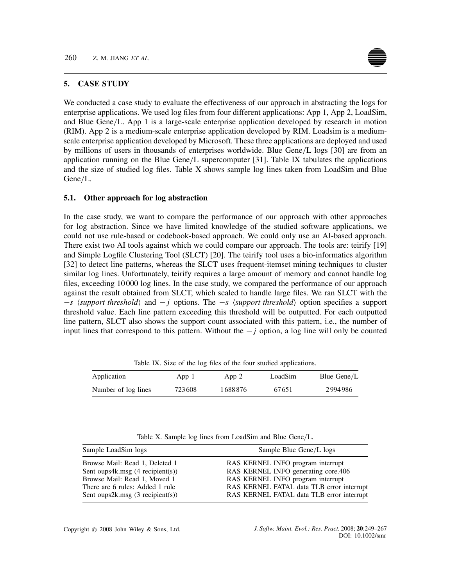# **5. CASE STUDY**

We conducted a case study to evaluate the effectiveness of our approach in abstracting the logs for enterprise applications. We used log files from four different applications: App 1, App 2, LoadSim, and Blue Gene*/*L. App 1 is a large-scale enterprise application developed by research in motion (RIM). App 2 is a medium-scale enterprise application developed by RIM. Loadsim is a mediumscale enterprise application developed by Microsoft. These three applications are deployed and used by millions of users in thousands of enterprises worldwide. Blue Gene*/*L logs [30] are from an application running on the Blue Gene*/*L supercomputer [31]. Table IX tabulates the applications and the size of studied log files. Table X shows sample log lines taken from LoadSim and Blue Gene*/*L.

## **5.1. Other approach for log abstraction**

In the case study, we want to compare the performance of our approach with other approaches for log abstraction. Since we have limited knowledge of the studied software applications, we could not use rule-based or codebook-based approach. We could only use an AI-based approach. There exist two AI tools against which we could compare our approach. The tools are: teirify [19] and Simple Logfile Clustering Tool (SLCT) [20]. The teirify tool uses a bio-informatics algorithm [32] to detect line patterns, whereas the SLCT uses frequent-itemset mining techniques to cluster similar log lines. Unfortunately, teirify requires a large amount of memory and cannot handle log files, exceeding 10000 log lines. In the case study, we compared the performance of our approach against the result obtained from SLCT, which scaled to handle large files. We ran SLCT with the −*s*  $\langle support\ threshold\rangle$  and −*j* options. The −*s*  $\langle support\ threshold\rangle$  option specifies a support threshold value. Each line pattern exceeding this threshold will be outputted. For each outputted line pattern, SLCT also shows the support count associated with this pattern, i.e., the number of input lines that correspond to this pattern. Without the − *j* option, a log line will only be counted

Table IX. Size of the log files of the four studied applications.

| Application         | App 1  | App 2   | LoadSim | Blue Gene/L |
|---------------------|--------|---------|---------|-------------|
| Number of log lines | 723608 | 1688876 | 67651   | 2994986     |

Table X. Sample log lines from LoadSim and Blue Gene*/*L.

| Sample LoadSim logs                       | Sample Blue Gene/L logs                   |  |  |
|-------------------------------------------|-------------------------------------------|--|--|
| Browse Mail: Read 1, Deleted 1            | RAS KERNEL INFO program interrupt         |  |  |
| Sent oups $4k \cdot msg$ (4 recipient(s)) | RAS KERNEL INFO generating core.406       |  |  |
| Browse Mail: Read 1, Moved 1              | RAS KERNEL INFO program interrupt         |  |  |
| There are 6 rules: Added 1 rule           | RAS KERNEL FATAL data TLB error interrupt |  |  |
| Sent oups $2k$ msg $(3$ recipient $(s)$ ) | RAS KERNEL FATAL data TLB error interrupt |  |  |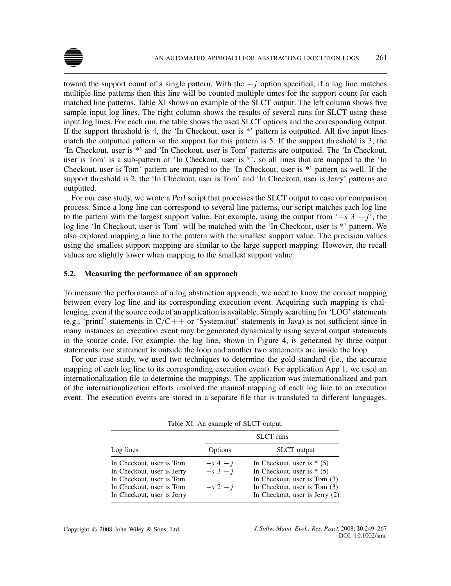

toward the support count of a single pattern. With the − *j* option specified, if a log line matches multiple line patterns then this line will be counted multiple times for the support count for each matched line patterns. Table XI shows an example of the SLCT output. The left column shows five sample input log lines. The right column shows the results of several runs for SLCT using these input log lines. For each run, the table shows the used SLCT options and the corresponding output. If the support threshold is 4, the 'In Checkout, user is \*' pattern is outputted. All five input lines match the outputted pattern so the support for this pattern is 5. If the support threshold is 3, the 'In Checkout, user is \*' and 'In Checkout, user is Tom' patterns are outputted. The 'In Checkout, user is Tom' is a sub-pattern of 'In Checkout, user is \*', so all lines that are mapped to the 'In Checkout, user is Tom' pattern are mapped to the 'In Checkout, user is \*' pattern as well. If the support threshold is 2, the 'In Checkout, user is Tom' and 'In Checkout, user is Jerry' patterns are outputted.

For our case study, we wrote a Perl script that processes the SLCT output to ease our comparison process. Since a long line can correspond to several line patterns, our script matches each log line to the pattern with the largest support value. For example, using the output from '−*s* 3 − *j*', the log line 'In Checkout, user is Tom' will be matched with the 'In Checkout, user is \*' pattern. We also explored mapping a line to the pattern with the smallest support value. The precision values using the smallest support mapping are similar to the large support mapping. However, the recall values are slightly lower when mapping to the smallest support value.

## **5.2. Measuring the performance of an approach**

To measure the performance of a log abstraction approach, we need to know the correct mapping between every log line and its corresponding execution event. Acquiring such mapping is challenging, even if the source code of an application is available. Simply searching for 'LOG' statements (e.g., 'printf' statements in C*/*C++ or 'System.out' statements in Java) is not sufficient since in many instances an execution event may be generated dynamically using several output statements in the source code. For example, the log line, shown in Figure 4, is generated by three output statements: one statement is outside the loop and another two statements are inside the loop.

For our case study, we used two techniques to determine the gold standard (i.e., the accurate mapping of each log line to its corresponding execution event). For application App 1, we used an internationalization file to determine the mappings. The application was internationalized and part of the internationalization efforts involved the manual mapping of each log line to an execution event. The execution events are stored in a separate file that is translated to different languages.

|                                                                                                                                              |                                       | <b>SLCT</b> runs                                                                                                                                               |
|----------------------------------------------------------------------------------------------------------------------------------------------|---------------------------------------|----------------------------------------------------------------------------------------------------------------------------------------------------------------|
| Log lines                                                                                                                                    | Options                               | <b>SLCT</b> output                                                                                                                                             |
| In Checkout, user is Tom<br>In Checkout, user is Jerry<br>In Checkout, user is Tom<br>In Checkout, user is Tom<br>In Checkout, user is Jerry | $-s$ 4 $-i$<br>$-s$ 3 $-i$<br>$-s2-i$ | In Checkout, user is $*$ (5)<br>In Checkout, user is $*$ (5)<br>In Checkout, user is Tom (3)<br>In Checkout, user is Tom (3)<br>In Checkout, user is Jerry (2) |

Table XI. An example of SLCT output.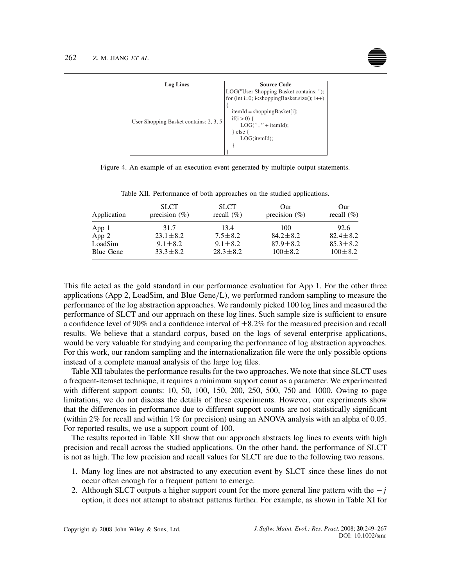

| <b>Log Lines</b>                       | <b>Source Code</b>                                                                                                                                                                                                                                                       |  |  |
|----------------------------------------|--------------------------------------------------------------------------------------------------------------------------------------------------------------------------------------------------------------------------------------------------------------------------|--|--|
| User Shopping Basket contains: 2, 3, 5 | LOG("User Shopping Basket contains: ");<br>for (int i=0; i <shoppingbasket.size(); <math="">i++)<br/><math>itemId = shoppingBasket[i];</math><br/>if(<math>i &gt; 0</math>) {<br/><math>LOG("," + itemId);</math><br/>l else {<br/>LOG(itemId);</shoppingbasket.size();> |  |  |

Figure 4. An example of an execution event generated by multiple output statements.

| Application      | <b>SLCT</b><br>precision $(\%)$ | <b>SLCT</b><br>recall $(\%)$ | Our<br>precision $(\% )$ | Our<br>recall $(\%)$ |
|------------------|---------------------------------|------------------------------|--------------------------|----------------------|
| App 1            | 31.7                            | 13.4                         | 100                      | 92.6                 |
| App 2            | $23.1 \pm 8.2$                  | $7.5 \pm 8.2$                | $84.2 \pm 8.2$           | $82.4 \pm 8.2$       |
| LoadSim          | $9.1 \pm 8.2$                   | $9.1 \pm 8.2$                | $87.9 \pm 8.2$           | $85.3 \pm 8.2$       |
| <b>Blue Gene</b> | $33.3 \pm 8.2$                  | $28.3 \pm 8.2$               | $100 \pm 8.2$            | $100 \pm 8.2$        |

Table XII. Performance of both approaches on the studied applications.

This file acted as the gold standard in our performance evaluation for App 1. For the other three applications (App 2, LoadSim, and Blue Gene*/*L), we performed random sampling to measure the performance of the log abstraction approaches. We randomly picked 100 log lines and measured the performance of SLCT and our approach on these log lines. Such sample size is sufficient to ensure a confidence level of 90% and a confidence interval of ±8*.*2% for the measured precision and recall results. We believe that a standard corpus, based on the logs of several enterprise applications, would be very valuable for studying and comparing the performance of log abstraction approaches. For this work, our random sampling and the internationalization file were the only possible options instead of a complete manual analysis of the large log files.

Table XII tabulates the performance results for the two approaches. We note that since SLCT uses a frequent-itemset technique, it requires a minimum support count as a parameter. We experimented with different support counts: 10, 50, 100, 150, 200, 250, 500, 750 and 1000. Owing to page limitations, we do not discuss the details of these experiments. However, our experiments show that the differences in performance due to different support counts are not statistically significant (within 2% for recall and within 1% for precision) using an ANOVA analysis with an alpha of 0*.*05. For reported results, we use a support count of 100.

The results reported in Table XII show that our approach abstracts log lines to events with high precision and recall across the studied applications. On the other hand, the performance of SLCT is not as high. The low precision and recall values for SLCT are due to the following two reasons.

- 1. Many log lines are not abstracted to any execution event by SLCT since these lines do not occur often enough for a frequent pattern to emerge.
- 2. Although SLCT outputs a higher support count for the more general line pattern with the − *j* option, it does not attempt to abstract patterns further. For example, as shown in Table XI for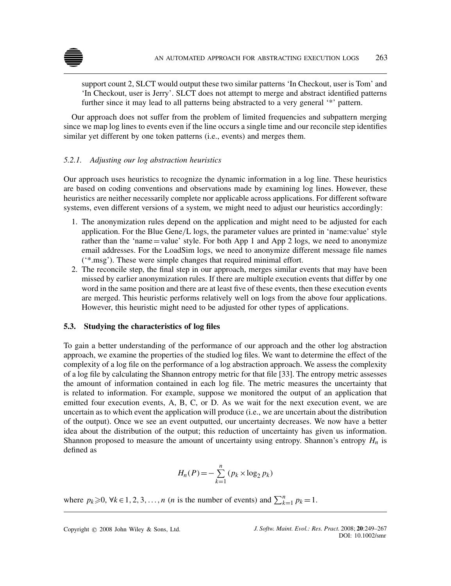

support count 2, SLCT would output these two similar patterns 'In Checkout, user is Tom' and 'In Checkout, user is Jerry'. SLCT does not attempt to merge and abstract identified patterns further since it may lead to all patterns being abstracted to a very general '\*' pattern.

Our approach does not suffer from the problem of limited frequencies and subpattern merging since we map log lines to events even if the line occurs a single time and our reconcile step identifies similar yet different by one token patterns (i.e., events) and merges them.

# *5.2.1. Adjusting our log abstraction heuristics*

Our approach uses heuristics to recognize the dynamic information in a log line. These heuristics are based on coding conventions and observations made by examining log lines. However, these heuristics are neither necessarily complete nor applicable across applications. For different software systems, even different versions of a system, we might need to adjust our heuristics accordingly:

- 1. The anonymization rules depend on the application and might need to be adjusted for each application. For the Blue Gene*/*L logs, the parameter values are printed in 'name:value' style rather than the 'name=value' style. For both App 1 and App 2 logs, we need to anonymize email addresses. For the LoadSim logs, we need to anonymize different message file names ('\*.msg'). These were simple changes that required minimal effort.
- 2. The reconcile step, the final step in our approach, merges similar events that may have been missed by earlier anonymization rules. If there are multiple execution events that differ by one word in the same position and there are at least five of these events, then these execution events are merged. This heuristic performs relatively well on logs from the above four applications. However, this heuristic might need to be adjusted for other types of applications.

# **5.3. Studying the characteristics of log files**

To gain a better understanding of the performance of our approach and the other log abstraction approach, we examine the properties of the studied log files. We want to determine the effect of the complexity of a log file on the performance of a log abstraction approach. We assess the complexity of a log file by calculating the Shannon entropy metric for that file [33]. The entropy metric assesses the amount of information contained in each log file. The metric measures the uncertainty that is related to information. For example, suppose we monitored the output of an application that emitted four execution events, A, B, C, or D. As we wait for the next execution event, we are uncertain as to which event the application will produce (i.e., we are uncertain about the distribution of the output). Once we see an event outputted, our uncertainty decreases. We now have a better idea about the distribution of the output; this reduction of uncertainty has given us information. Shannon proposed to measure the amount of uncertainty using entropy. Shannon's entropy  $H_n$  is defined as

$$
H_n(P) = -\sum_{k=1}^n (p_k \times \log_2 p_k)
$$

where  $p_k \ge 0$ ,  $\forall k \in 1, 2, 3, ..., n$  (*n* is the number of events) and  $\sum_{k=1}^{n} p_k = 1$ .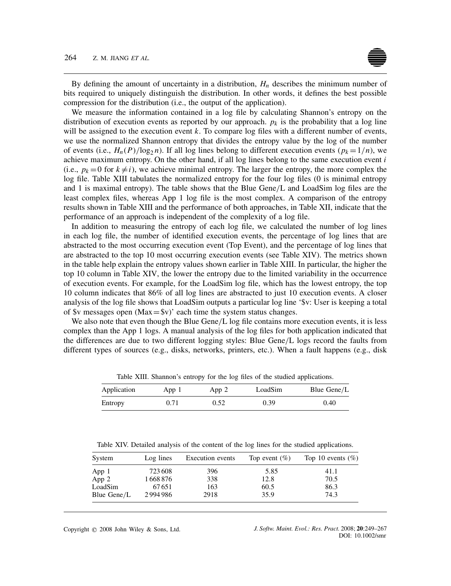## 264 Z. M. JIANG *ET AL.*

By defining the amount of uncertainty in a distribution, *Hn* describes the minimum number of bits required to uniquely distinguish the distribution. In other words, it defines the best possible compression for the distribution (i.e., the output of the application).

We measure the information contained in a log file by calculating Shannon's entropy on the distribution of execution events as reported by our approach.  $p_k$  is the probability that a log line will be assigned to the execution event *k*. To compare log files with a different number of events, we use the normalized Shannon entropy that divides the entropy value by the log of the number of events (i.e.,  $H_n(P)/\log_2 n$ ). If all log lines belong to different execution events ( $p_k = 1/n$ ), we achieve maximum entropy. On the other hand, if all log lines belong to the same execution event *i* (i.e.,  $p_k = 0$  for  $k \neq i$ ), we achieve minimal entropy. The larger the entropy, the more complex the log file. Table XIII tabulates the normalized entropy for the four log files (0 is minimal entropy and 1 is maximal entropy). The table shows that the Blue Gene*/*L and LoadSim log files are the least complex files, whereas App 1 log file is the most complex. A comparison of the entropy results shown in Table XIII and the performance of both approaches, in Table XII, indicate that the performance of an approach is independent of the complexity of a log file.

In addition to measuring the entropy of each log file, we calculated the number of log lines in each log file, the number of identified execution events, the percentage of log lines that are abstracted to the most occurring execution event (Top Event), and the percentage of log lines that are abstracted to the top 10 most occurring execution events (see Table XIV). The metrics shown in the table help explain the entropy values shown earlier in Table XIII. In particular, the higher the top 10 column in Table XIV, the lower the entropy due to the limited variability in the occurrence of execution events. For example, for the LoadSim log file, which has the lowest entropy, the top 10 column indicates that 86% of all log lines are abstracted to just 10 execution events. A closer analysis of the log file shows that LoadSim outputs a particular log line '\$v: User is keeping a total of \$v messages open  $(Max=$v)'$  each time the system status changes.

We also note that even though the Blue Gene/L log file contains more execution events, it is less complex than the App 1 logs. A manual analysis of the log files for both application indicated that the differences are due to two different logging styles: Blue Gene*/*L logs record the faults from different types of sources (e.g., disks, networks, printers, etc.). When a fault happens (e.g., disk

| Application | App 1 | App 2 | LoadSim | Blue Gene/L |  |
|-------------|-------|-------|---------|-------------|--|
| Entropy     | 0.71  | 0.52  | 0.39    | 0.40        |  |

Table XIII. Shannon's entropy for the log files of the studied applications.

Table XIV. Detailed analysis of the content of the log lines for the studied applications.

| System      | Log lines | <b>Execution</b> events | Top event $(\%)$ | Top 10 events $(\%)$ |
|-------------|-----------|-------------------------|------------------|----------------------|
| App 1       | 723 608   | 396                     | 5.85             | 41.1                 |
| App 2       | 1668876   | 338                     | 12.8             | 70.5                 |
| LoadSim     | 67651     | 163                     | 60.5             | 86.3                 |
| Blue Gene/L | 2994986   | 2918                    | 35.9             | 74.3                 |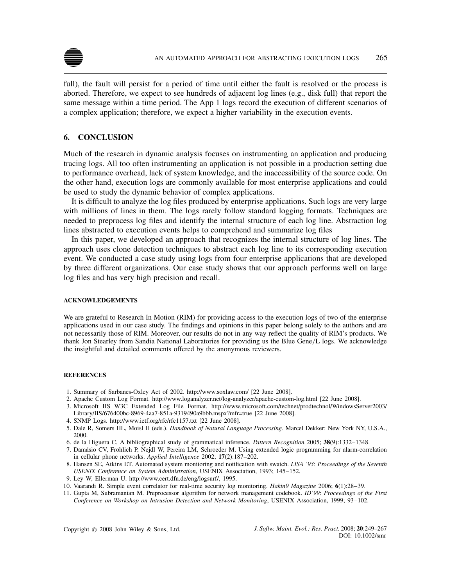

full), the fault will persist for a period of time until either the fault is resolved or the process is aborted. Therefore, we expect to see hundreds of adjacent log lines (e.g., disk full) that report the same message within a time period. The App 1 logs record the execution of different scenarios of a complex application; therefore, we expect a higher variability in the execution events.

# **6. CONCLUSION**

Much of the research in dynamic analysis focuses on instrumenting an application and producing tracing logs. All too often instrumenting an application is not possible in a production setting due to performance overhead, lack of system knowledge, and the inaccessibility of the source code. On the other hand, execution logs are commonly available for most enterprise applications and could be used to study the dynamic behavior of complex applications.

It is difficult to analyze the log files produced by enterprise applications. Such logs are very large with millions of lines in them. The logs rarely follow standard logging formats. Techniques are needed to preprocess log files and identify the internal structure of each log line. Abstraction log lines abstracted to execution events helps to comprehend and summarize log files

In this paper, we developed an approach that recognizes the internal structure of log lines. The approach uses clone detection techniques to abstract each log line to its corresponding execution event. We conducted a case study using logs from four enterprise applications that are developed by three different organizations. Our case study shows that our approach performs well on large log files and has very high precision and recall.

## **ACKNOWLEDGEMENTS**

We are grateful to Research In Motion (RIM) for providing access to the execution logs of two of the enterprise applications used in our case study. The findings and opinions in this paper belong solely to the authors and are not necessarily those of RIM. Moreover, our results do not in any way reflect the quality of RIM's products. We thank Jon Stearley from Sandia National Laboratories for providing us the Blue Gene*/*L logs. We acknowledge the insightful and detailed comments offered by the anonymous reviewers.

## **REFERENCES**

- 1. Summary of Sarbanes-Oxley Act of 2002. http://www.soxlaw.com/ [22 June 2008].
- 2. Apache Custom Log Format. http://www.loganalyzer.net/log-analyzer/apache-custom-log.html [22 June 2008].
- 3. Microsoft IIS W3C Extended Log File Format. http://www.microsoft.com/technet/prodtechnol/WindowsServer2003/ Library/IIS/676400bc-8969-4aa7-851a-9319490a9bbb.mspx?mfr=true [22 June 2008].
- 4. SNMP Logs. http://www.ietf.org/rfc/rfc1157.txt [22 June 2008].
- 5. Dale R, Somers HL, Moisl H (eds.). *Handbook of Natural Language Processing*. Marcel Dekker: New York NY, U.S.A., 2000.
- 6. de la Higuera C. A bibliographical study of grammatical inference. *Pattern Recognition* 2005; **38**(9):1332–1348.
- 7. Damásio CV, Fröhlich P, Nejdl W, Pereira LM, Schroeder M. Using extended logic programming for alarm-correlation in cellular phone networks. *Applied Intelligence* 2002; **17**(2):187–202.
- 8. Hansen SE, Atkins ET. Automated system monitoring and notification with swatch. *LISA '93*: *Proceedings of the Seventh USENIX Conference on System Administration*, USENIX Association, 1993; 145–152.
- 9. Ley W, Ellerman U. http://www.cert.dfn.de/eng/logsurf/, 1995.
- 10. Vaarandi R. Simple event correlator for real-time security log monitoring. *Hakin9 Magazine* 2006; **6**(1):28–39.
- 11. Gupta M, Subramanian M. Preprocessor algorithm for network management codebook. *ID'99*: *Proceedings of the First Conference on Workshop on Intrusion Detection and Network Monitoring*, USENIX Association, 1999; 93–102.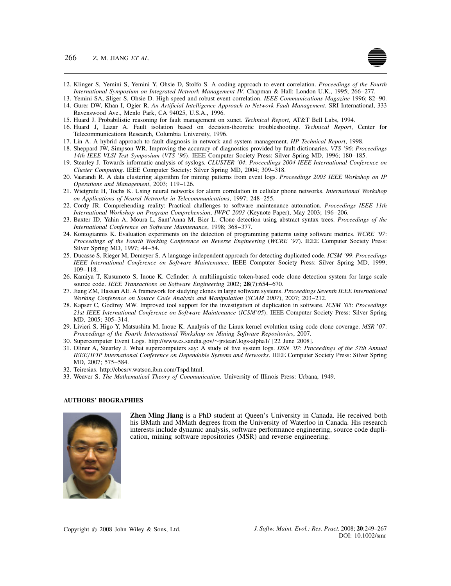

- 12. Klinger S, Yemini S, Yemini Y, Ohsie D, Stolfo S. A coding approach to event correlation. *Proceedings of the Fourth International Symposium on Integrated Network Management IV*. Chapman & Hall: London U.K., 1995; 266–277.
- 13. Yemini SA, Sliger S, Ohsie D. High speed and robust event correlation. *IEEE Communications Magazine* 1996; 82–90.
- 14. Gurer DW, Khan I, Ogier R. *An Artificial Intelligence Approach to Network Fault Management*. SRI International, 333 Ravenswood Ave., Menlo Park, CA 94025, U.S.A., 1996.
- 15. Huard J. Probabilistic reasoning for fault management on xunet. *Technical Report*, AT&T Bell Labs, 1994.
- 16. Huard J, Lazar A. Fault isolation based on decision-theoretic troubleshooting. *Technical Report*, Center for Telecommunications Research, Columbia University, 1996.
- 17. Lin A. A hybrid approach to fault diagnosis in network and system management. *HP Technical Report*, 1998.
- 18. Sheppard JW, Simpson WR. Improving the accuracy of diagnostics provided by fault dictionaries. *VTS '96*: *Proceedings 14th IEEE VLSI Test Symposium (VTS '96)*. IEEE Computer Society Press: Silver Spring MD, 1996; 180–185.
- 19. Stearley J. Towards informatic analysis of syslogs. *CLUSTER '04*: *Proceedings 2004 IEEE International Conference on Cluster Computing*. IEEE Computer Society: Silver Spring MD, 2004; 309–318.
- 20. Vaarandi R. A data clustering algorithm for mining patterns from event logs. *Proceedings 2003 IEEE Workshop on IP Operations and Management*, 2003; 119–126.
- 21. Wietgrefe H, Tochs K. Using neural networks for alarm correlation in cellular phone networks. *International Workshop on Applications of Neural Networks in Telecommunications*, 1997; 248–255.
- 22. Cordy JR. Comprehending reality: Practical challenges to software maintenance automation. *Proceedings IEEE 11th International Workshop on Program Comprehension*, *IWPC 2003* (Keynote Paper), May 2003; 196–206.
- 23. Baxter ID, Yahin A, Moura L, Sant'Anna M, Bier L. Clone detection using abstract syntax trees. *Proceedings of the International Conference on Software Maintenance*, 1998; 368–377.
- 24. Kontogiannis K. Evaluation experiments on the detection of programming patterns using software metrics. *WCRE '97*: *Proceedings of the Fourth Working Conference on Reverse Engineering* (*WCRE '97*). IEEE Computer Society Press: Silver Spring MD, 1997; 44–54.
- 25. Ducasse S, Rieger M, Demeyer S. A language independent approach for detecting duplicated code. *ICSM '99*: *Proceedings IEEE International Conference on Software Maintenance*. IEEE Computer Society Press: Silver Spring MD, 1999; 109–118.
- 26. Kamiya T, Kusumoto S, Inoue K. Ccfinder: A multilinguistic token-based code clone detection system for large scale source code. *IEEE Transactions on Software Engineering* 2002; **28**(7):654–670.
- 27. Jiang ZM, Hassan AE. A framework for studying clones in large software systems. *Proceedings Seventh IEEE International Working Conference on Source Code Analysis and Manipulation* (*SCAM 2007*), 2007; 203–212.
- 28. Kapser C, Godfrey MW. Improved tool support for the investigation of duplication in software. *ICSM '05*: *Proceedings 21st IEEE International Conference on Software Maintenance (ICSM'05)*. IEEE Computer Society Press: Silver Spring MD, 2005; 305–314.
- 29. Livieri S, Higo Y, Matsushita M, Inoue K. Analysis of the Linux kernel evolution using code clone coverage. *MSR* '*07*: *Proceedings of the Fourth International Workshop on Mining Software Repositories*, 2007.
- 30. Supercomputer Event Logs. http://www.cs.sandia.gov/∼jrstear/.logs-alpha1/ [22 June 2008].
- 31. Oliner A, Stearley J. What supercomputers say: A study of five system logs. *DSN '07*: *Proceedings of the 37th Annual IEEE/IFIP International Conference on Dependable Systems and Networks*. IEEE Computer Society Press: Silver Spring MD, 2007; 575–584.
- 32. Teiresias. http://cbcsrv.watson.ibm.com/Tspd.html.
- 33. Weaver S. *The Mathematical Theory of Communication.* University of Illinois Press: Urbana, 1949.

#### **AUTHORS' BIOGRAPHIES**



**Zhen Ming Jiang** is a PhD student at Queen's University in Canada. He received both his BMath and MMath degrees from the University of Waterloo in Canada. His research interests include dynamic analysis, software performance engineering, source code duplication, mining software repositories (MSR) and reverse engineering.